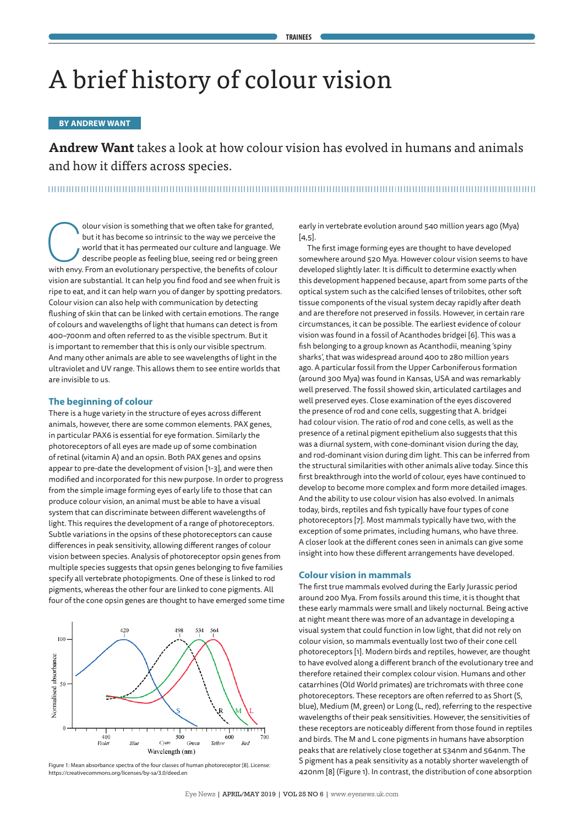# A brief history of colour vision

# **BY ANDREW WANT**

**Andrew Want** takes a look at how colour vision has evolved in humans and animals and how it differs across species.

olour vision is something that we often take for granted, but it has become so intrinsic to the way we perceive the world that it has permeated our culture and language. We describe people as feeling blue, seeing red or be but it has become so intrinsic to the way we perceive the world that it has permeated our culture and language. We describe people as feeling blue, seeing red or being green vision are substantial. It can help you find food and see when fruit is ripe to eat, and it can help warn you of danger by spotting predators. Colour vision can also help with communication by detecting flushing of skin that can be linked with certain emotions. The range of colours and wavelengths of light that humans can detect is from 400–700nm and often referred to as the visible spectrum. But it is important to remember that this is only our visible spectrum. And many other animals are able to see wavelengths of light in the ultraviolet and UV range. This allows them to see entire worlds that are invisible to us.

# **The beginning of colour**

There is a huge variety in the structure of eyes across different animals, however, there are some common elements. PAX genes, in particular PAX6 is essential for eye formation. Similarly the photoreceptors of all eyes are made up of some combination of retinal (vitamin A) and an opsin. Both PAX genes and opsins appear to pre-date the development of vision [1-3], and were then modified and incorporated for this new purpose. In order to progress from the simple image forming eyes of early life to those that can produce colour vision, an animal must be able to have a visual system that can discriminate between different wavelengths of light. This requires the development of a range of photoreceptors. Subtle variations in the opsins of these photoreceptors can cause differences in peak sensitivity, allowing different ranges of colour vision between species. Analysis of photoreceptor opsin genes from multiple species suggests that opsin genes belonging to five families specify all vertebrate photopigments. One of these is linked to rod pigments, whereas the other four are linked to cone pigments. All four of the cone opsin genes are thought to have emerged some time



Figure 1: Mean absorbance spectra of the four classes of human photoreceptor [8]. License: https://creativecommons.org/licenses/by-sa/3.0/deed.en

early in vertebrate evolution around 540 million years ago (Mya)  $[4,5]$ .

The first image forming eyes are thought to have developed somewhere around 520 Mya. However colour vision seems to have developed slightly later. It is difficult to determine exactly when this development happened because, apart from some parts of the optical system such as the calcified lenses of trilobites, other soft tissue components of the visual system decay rapidly after death and are therefore not preserved in fossils. However, in certain rare circumstances, it can be possible. The earliest evidence of colour vision was found in a fossil of Acanthodes bridgei [6]. This was a fish belonging to a group known as Acanthodii, meaning 'spiny sharks', that was widespread around 400 to 280 million years ago. A particular fossil from the Upper Carboniferous formation (around 300 Mya) was found in Kansas, USA and was remarkably well preserved. The fossil showed skin, articulated cartilages and well preserved eyes. Close examination of the eyes discovered the presence of rod and cone cells, suggesting that A. bridgei had colour vision. The ratio of rod and cone cells, as well as the presence of a retinal pigment epithelium also suggests that this was a diurnal system, with cone-dominant vision during the day, and rod-dominant vision during dim light. This can be inferred from the structural similarities with other animals alive today. Since this first breakthrough into the world of colour, eyes have continued to develop to become more complex and form more detailed images. And the ability to use colour vision has also evolved. In animals today, birds, reptiles and fish typically have four types of cone photoreceptors [7]. Most mammals typically have two, with the exception of some primates, including humans, who have three. A closer look at the different cones seen in animals can give some insight into how these different arrangements have developed.

### **Colour vision in mammals**

The first true mammals evolved during the Early Jurassic period around 200 Mya. From fossils around this time, it is thought that these early mammals were small and likely nocturnal. Being active at night meant there was more of an advantage in developing a visual system that could function in low light, that did not rely on colour vision, so mammals eventually lost two of their cone cell photoreceptors [1]. Modern birds and reptiles, however, are thought to have evolved along a different branch of the evolutionary tree and therefore retained their complex colour vision. Humans and other catarrhines (Old World primates) are trichromats with three cone photoreceptors. These receptors are often referred to as Short (S, blue), Medium (M, green) or Long (L, red), referring to the respective wavelengths of their peak sensitivities. However, the sensitivities of these receptors are noticeably different from those found in reptiles and birds. The M and L cone pigments in humans have absorption peaks that are relatively close together at 534nm and 564nm. The S pigment has a peak sensitivity as a notably shorter wavelength of 420nm [8] (Figure 1). In contrast, the distribution of cone absorption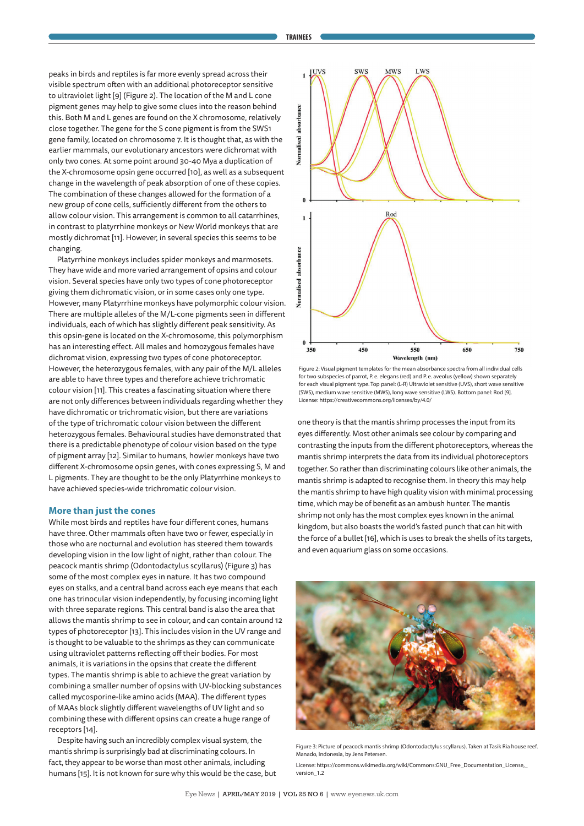peaks in birds and reptiles is far more evenly spread across their visible spectrum often with an additional photoreceptor sensitive to ultraviolet light [9] (Figure 2). The location of the M and L cone pigment genes may help to give some clues into the reason behind this. Both M and L genes are found on the X chromosome, relatively close together. The gene for the S cone pigment is from the SWS1 gene family, located on chromosome 7. It is thought that, as with the earlier mammals, our evolutionary ancestors were dichromat with only two cones. At some point around 30-40 Mya a duplication of the X-chromosome opsin gene occurred [10], as well as a subsequent change in the wavelength of peak absorption of one of these copies. The combination of these changes allowed for the formation of a new group of cone cells, sufficiently different from the others to allow colour vision. This arrangement is common to all catarrhines, in contrast to platyrrhine monkeys or New World monkeys that are mostly dichromat [11]. However, in several species this seems to be changing.

Platyrrhine monkeys includes spider monkeys and marmosets. They have wide and more varied arrangement of opsins and colour vision. Several species have only two types of cone photoreceptor giving them dichromatic vision, or in some cases only one type. However, many Platyrrhine monkeys have polymorphic colour vision. There are multiple alleles of the M/L-cone pigments seen in different individuals, each of which has slightly different peak sensitivity. As this opsin-gene is located on the X-chromosome, this polymorphism has an interesting effect. All males and homozygous females have dichromat vision, expressing two types of cone photoreceptor. However, the heterozygous females, with any pair of the M/L alleles are able to have three types and therefore achieve trichromatic colour vision [11]. This creates a fascinating situation where there are not only differences between individuals regarding whether they have dichromatic or trichromatic vision, but there are variations of the type of trichromatic colour vision between the different heterozygous females. Behavioural studies have demonstrated that there is a predictable phenotype of colour vision based on the type of pigment array [12]. Similar to humans, howler monkeys have two different X-chromosome opsin genes, with cones expressing S, M and L pigments. They are thought to be the only Platyrrhine monkeys to have achieved species-wide trichromatic colour vision.

#### **More than just the cones**

While most birds and reptiles have four different cones, humans have three. Other mammals often have two or fewer, especially in those who are nocturnal and evolution has steered them towards developing vision in the low light of night, rather than colour. The peacock mantis shrimp (Odontodactylus scyllarus) (Figure 3) has some of the most complex eyes in nature. It has two compound eyes on stalks, and a central band across each eye means that each one has trinocular vision independently, by focusing incoming light with three separate regions. This central band is also the area that allows the mantis shrimp to see in colour, and can contain around 12 types of photoreceptor [13]. This includes vision in the UV range and is thought to be valuable to the shrimps as they can communicate using ultraviolet patterns reflecting off their bodies. For most animals, it is variations in the opsins that create the different types. The mantis shrimp is able to achieve the great variation by combining a smaller number of opsins with UV-blocking substances called mycosporine-like amino acids (MAA). The different types of MAAs block slightly different wavelengths of UV light and so combining these with different opsins can create a huge range of receptors [14].

Despite having such an incredibly complex visual system, the mantis shrimp is surprisingly bad at discriminating colours. In fact, they appear to be worse than most other animals, including humans [15]. It is not known for sure why this would be the case, but



Figure 2: Visual pigment templates for the mean absorbance spectra from all individual cells for two subspecies of parrot, P. e. elegans (red) and P. e. aveolus (yellow) shown separately for each visual pigment type. Top panel: (L-R) Ultraviolet sensitive (UVS), short wave sensitive (SWS), medium wave sensitive (MWS), long wave sensitive (LWS). Bottom panel: Rod [9]. License: https://creativecommons.org/licenses/by/4.0/

one theory is that the mantis shrimp processes the input from its eyes differently. Most other animals see colour by comparing and contrasting the inputs from the different photoreceptors, whereas the mantis shrimp interprets the data from its individual photoreceptors together. So rather than discriminating colours like other animals, the mantis shrimp is adapted to recognise them. In theory this may help the mantis shrimp to have high quality vision with minimal processing time, which may be of benefit as an ambush hunter. The mantis shrimp not only has the most complex eyes known in the animal kingdom, but also boasts the world's fasted punch that can hit with the force of a bullet [16], which is uses to break the shells of its targets, and even aquarium glass on some occasions.



Figure 3: Picture of peacock mantis shrimp (Odontodactylus scyllarus). Taken at Tasik Ria house reef. Manado, Indonesia, by Jens Petersen.

License: https://commons.wikimedia.org/wiki/Commons:GNU\_Free\_Documentation\_License,\_ version\_1.2